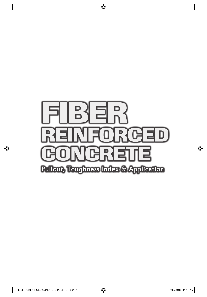

 $\bigoplus$ 

 $\bigoplus$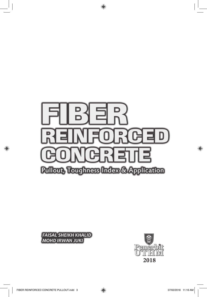

 $\bigoplus$ 





 $\bigoplus$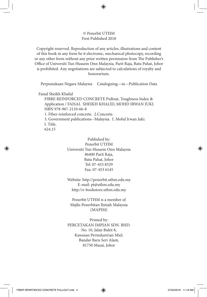## © Penerbit UTHM First Published 2018

Copyright reserved. Reproduction of any articles, illustrations and content of this book in any form be it electronic, mechanical photocopy, recording or any other form without any prior written permission from The Publisher's Office of Universiti Tun Hussein Onn Malaysia, Parit Raja, Batu Pahat, Johor is prohibited. Any negotiations are subjected to calculations of royalty and honorarium.

Perpustakaan Negara Malaysia Cataloguing—in—Publication Data

Faisal Sheikh Khalid

⊕

FIBRE REINFORCED CONCRETE Pullout, Toughness Index & Application / FAISAL SHEIKH KHALID, MOHD IRWAN JUKI. ISBN 978-967-2110-66-8 1. Fiber-reinforced concrete. 2.Concrete. 3. Government publications--Malaysia. I. Mohd Irwan Juki. I. Title. 624.15

> Published by: Penerbit UTHM Universiti Tun Hussein Onn Malaysia 86400 Parit Raja, Batu Pahat, Johor Tel: 07-453 8529 Fax: 07-453 6145

> Website: http://penerbit.uthm.edu.my E-mail: pt@uthm.edu.my http://e-bookstore.uthm.edu.my

Penerbit UTHM is a member of Majlis Penerbitan Ilmiah Malaysia (MAPIM)

Printed by: PERCETAKAN IMPIAN SDN. BHD. No. 10, Jalan Bukit 8, Kawasan Perindustrian Miel, Bandar Baru Seri Alam, 81750 Masai, Johor

⊕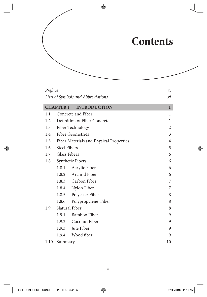## **Contents**

| Preface                            | ix                                      |                     |              |  |
|------------------------------------|-----------------------------------------|---------------------|--------------|--|
| Lists of Symbols and Abbreviations |                                         |                     |              |  |
|                                    | <b>CHAPTER I</b>                        | <b>INTRODUCTION</b> | $\mathbf{1}$ |  |
| 1.1                                |                                         | Concrete and Fiber  | $\mathbf{1}$ |  |
| 1.2                                | Definition of Fiber Concrete            | 1                   |              |  |
| 1.3                                | Fiber Technology                        | $\boldsymbol{2}$    |              |  |
| 1.4                                | <b>Fiber Geometries</b>                 | 3                   |              |  |
| 1.5                                | Fiber Materials and Physical Properties | $\overline{4}$      |              |  |
| 1.6                                | <b>Steel Fibers</b>                     | 5                   |              |  |
|                                    | 1.7 Glass Fibers                        | 6                   |              |  |
| 1.8                                | Synthetic Fibers                        |                     | 6            |  |
|                                    | 1.8.1                                   | Acrylic Fiber       | 6            |  |
|                                    |                                         | 1.8.2 Aramid Fiber  | 6            |  |
|                                    |                                         | 1.8.3 Carbon Fiber  | 7            |  |
|                                    | 1.8.4                                   | Nylon Fiber         | 7            |  |
|                                    | 1.8.5                                   | Polyester Fiber     | 8            |  |
|                                    | 1.8.6                                   | Polypropylene Fiber | 8            |  |
| 1.9                                | Natural Fiber                           |                     | 8            |  |
|                                    | 1.9.1                                   | Bamboo Fiber        | 9            |  |
|                                    |                                         | 1.9.2 Coconut Fiber | 9            |  |
|                                    | 1.9.3                                   | Jute Fiber          | 9            |  |
|                                    | 1.9.4                                   | Wood fiber          | 9            |  |
| 1.10                               | Summary                                 |                     | 10           |  |

 $\bigoplus$ 

 $\bigoplus$